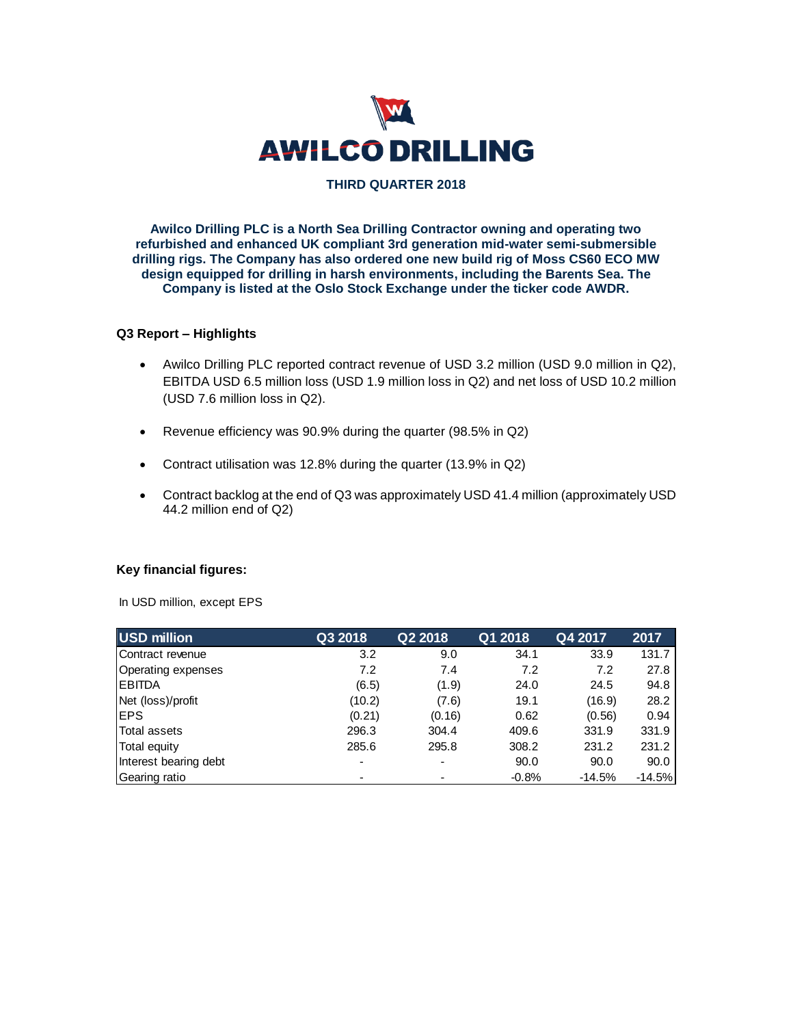

## **THIRD QUARTER 2018**

**Awilco Drilling PLC is a North Sea Drilling Contractor owning and operating two refurbished and enhanced UK compliant 3rd generation mid-water semi-submersible drilling rigs. The Company has also ordered one new build rig of Moss CS60 ECO MW design equipped for drilling in harsh environments, including the Barents Sea. The Company is listed at the Oslo Stock Exchange under the ticker code AWDR.**

## **Q3 Report – Highlights**

- Awilco Drilling PLC reported contract revenue of USD 3.2 million (USD 9.0 million in Q2), EBITDA USD 6.5 million loss (USD 1.9 million loss in Q2) and net loss of USD 10.2 million (USD 7.6 million loss in Q2).
- Revenue efficiency was 90.9% during the quarter (98.5% in Q2)
- Contract utilisation was 12.8% during the quarter (13.9% in Q2)
- Contract backlog at the end of Q3 was approximately USD 41.4 million (approximately USD 44.2 million end of Q2)

## **Key financial figures:**

In USD million, except EPS

| USD million           | Q3 2018 | Q2 2018 | Q1 2018 | Q4 2017  | 2017     |
|-----------------------|---------|---------|---------|----------|----------|
| Contract revenue      | 3.2     | 9.0     | 34.1    | 33.9     | 131.7    |
| Operating expenses    | 7.2     | 7.4     | 7.2     | 7.2      | 27.8     |
| <b>IEBITDA</b>        | (6.5)   | (1.9)   | 24.0    | 24.5     | 94.8     |
| Net (loss)/profit     | (10.2)  | (7.6)   | 19.1    | (16.9)   | 28.2     |
| <b>IEPS</b>           | (0.21)  | (0.16)  | 0.62    | (0.56)   | 0.94     |
| Total assets          | 296.3   | 304.4   | 409.6   | 331.9    | 331.9    |
| Total equity          | 285.6   | 295.8   | 308.2   | 231.2    | 231.2    |
| Interest bearing debt |         |         | 90.0    | 90.0     | 90.0     |
| Gearing ratio         |         |         | $-0.8%$ | $-14.5%$ | $-14.5%$ |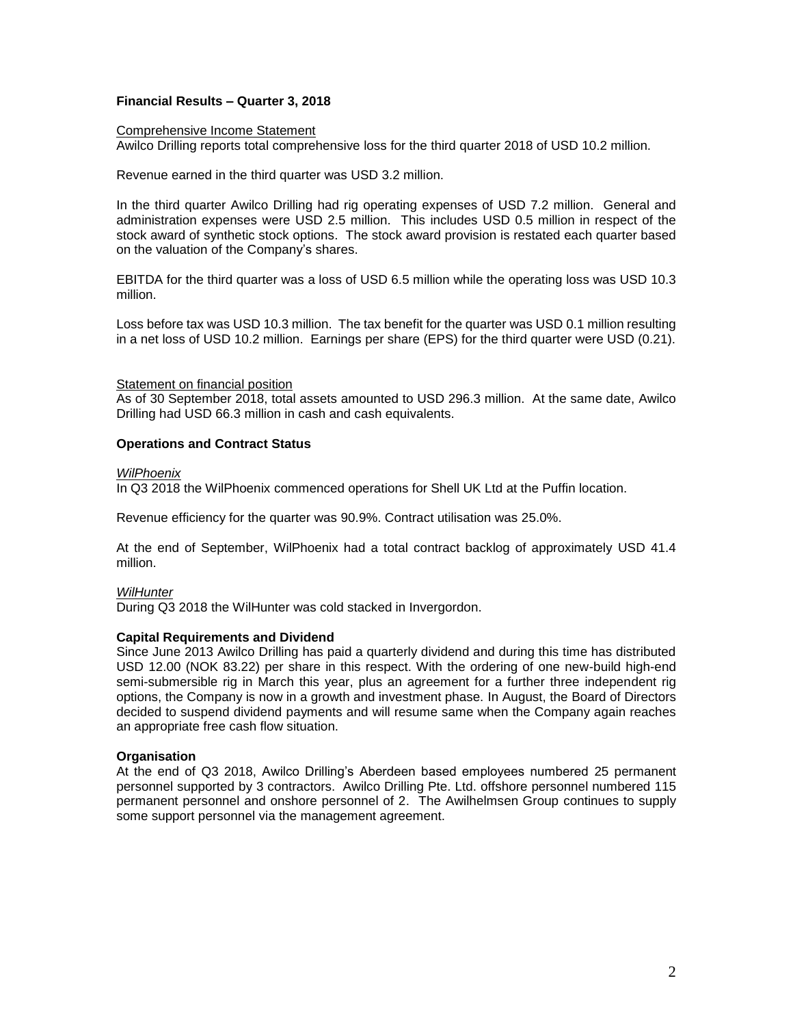## **Financial Results – Quarter 3, 2018**

### Comprehensive Income Statement

Awilco Drilling reports total comprehensive loss for the third quarter 2018 of USD 10.2 million.

Revenue earned in the third quarter was USD 3.2 million.

In the third quarter Awilco Drilling had rig operating expenses of USD 7.2 million. General and administration expenses were USD 2.5 million. This includes USD 0.5 million in respect of the stock award of synthetic stock options. The stock award provision is restated each quarter based on the valuation of the Company's shares.

EBITDA for the third quarter was a loss of USD 6.5 million while the operating loss was USD 10.3 million.

Loss before tax was USD 10.3 million. The tax benefit for the quarter was USD 0.1 million resulting in a net loss of USD 10.2 million. Earnings per share (EPS) for the third quarter were USD (0.21).

## Statement on financial position

As of 30 September 2018, total assets amounted to USD 296.3 million. At the same date, Awilco Drilling had USD 66.3 million in cash and cash equivalents.

## **Operations and Contract Status**

### *WilPhoenix*

In Q3 2018 the WilPhoenix commenced operations for Shell UK Ltd at the Puffin location.

Revenue efficiency for the quarter was 90.9%. Contract utilisation was 25.0%.

At the end of September, WilPhoenix had a total contract backlog of approximately USD 41.4 million.

## *WilHunter*

During Q3 2018 the WilHunter was cold stacked in Invergordon.

## **Capital Requirements and Dividend**

Since June 2013 Awilco Drilling has paid a quarterly dividend and during this time has distributed USD 12.00 (NOK 83.22) per share in this respect. With the ordering of one new-build high-end semi-submersible rig in March this year, plus an agreement for a further three independent rig options, the Company is now in a growth and investment phase. In August, the Board of Directors decided to suspend dividend payments and will resume same when the Company again reaches an appropriate free cash flow situation.

## **Organisation**

At the end of Q3 2018, Awilco Drilling's Aberdeen based employees numbered 25 permanent personnel supported by 3 contractors. Awilco Drilling Pte. Ltd. offshore personnel numbered 115 permanent personnel and onshore personnel of 2. The Awilhelmsen Group continues to supply some support personnel via the management agreement.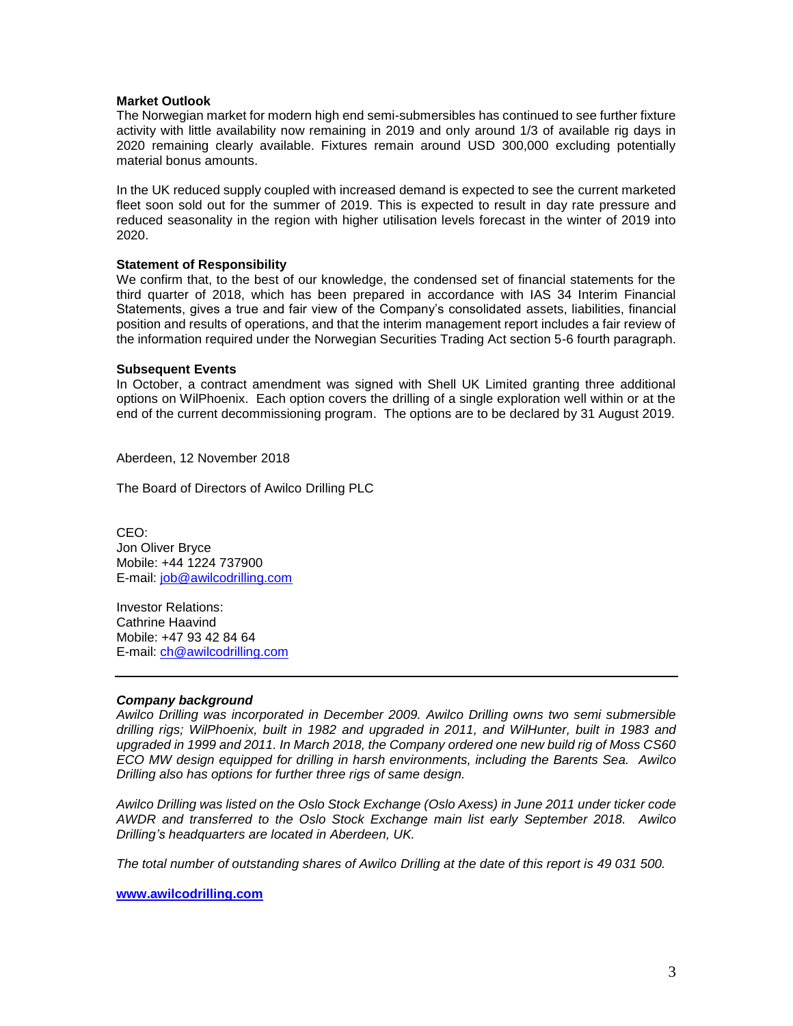## **Market Outlook**

The Norwegian market for modern high end semi-submersibles has continued to see further fixture activity with little availability now remaining in 2019 and only around 1/3 of available rig days in 2020 remaining clearly available. Fixtures remain around USD 300,000 excluding potentially material bonus amounts.

In the UK reduced supply coupled with increased demand is expected to see the current marketed fleet soon sold out for the summer of 2019. This is expected to result in day rate pressure and reduced seasonality in the region with higher utilisation levels forecast in the winter of 2019 into 2020.

## **Statement of Responsibility**

We confirm that, to the best of our knowledge, the condensed set of financial statements for the third quarter of 2018, which has been prepared in accordance with IAS 34 Interim Financial Statements, gives a true and fair view of the Company's consolidated assets, liabilities, financial position and results of operations, and that the interim management report includes a fair review of the information required under the Norwegian Securities Trading Act section 5-6 fourth paragraph.

### **Subsequent Events**

In October, a contract amendment was signed with Shell UK Limited granting three additional options on WilPhoenix. Each option covers the drilling of a single exploration well within or at the end of the current decommissioning program. The options are to be declared by 31 August 2019.

Aberdeen, 12 November 2018

The Board of Directors of Awilco Drilling PLC

CEO: Jon Oliver Bryce Mobile: +44 1224 737900 E-mail: [job@awilcodrilling.com](mailto:job@awilcodrilling.com)

Investor Relations: Cathrine Haavind Mobile: +47 93 42 84 64 E-mail: [ch@awilcodrilling.com](mailto:ch@awilcodrilling.com)

## *Company background*

*Awilco Drilling was incorporated in December 2009. Awilco Drilling owns two semi submersible drilling rigs; WilPhoenix, built in 1982 and upgraded in 2011, and WilHunter, built in 1983 and upgraded in 1999 and 2011. In March 2018, the Company ordered one new build rig of Moss CS60 ECO MW design equipped for drilling in harsh environments, including the Barents Sea. Awilco Drilling also has options for further three rigs of same design.*

*Awilco Drilling was listed on the Oslo Stock Exchange (Oslo Axess) in June 2011 under ticker code AWDR and transferred to the Oslo Stock Exchange main list early September 2018. Awilco Drilling's headquarters are located in Aberdeen, UK.*

*The total number of outstanding shares of Awilco Drilling at the date of this report is 49 031 500.*

**[www.awilcodrilling.com](http://www.awilcodrilling.com/)**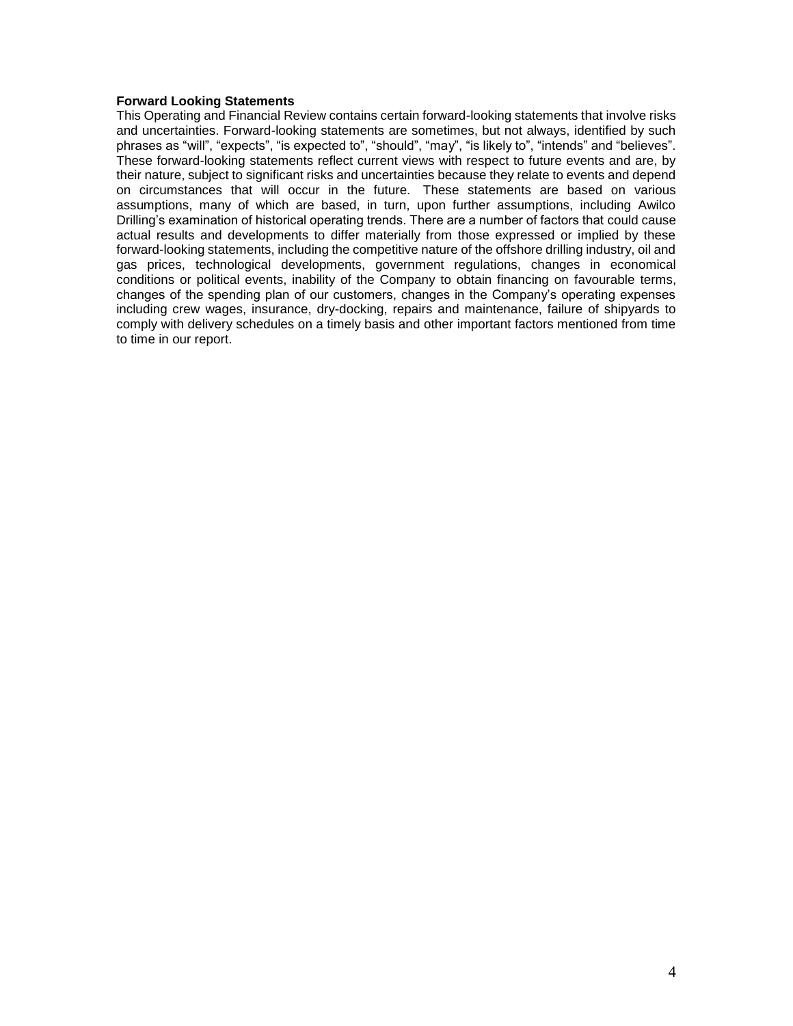## **Forward Looking Statements**

This Operating and Financial Review contains certain forward-looking statements that involve risks and uncertainties. Forward-looking statements are sometimes, but not always, identified by such phrases as "will", "expects", "is expected to", "should", "may", "is likely to", "intends" and "believes". These forward-looking statements reflect current views with respect to future events and are, by their nature, subject to significant risks and uncertainties because they relate to events and depend on circumstances that will occur in the future. These statements are based on various assumptions, many of which are based, in turn, upon further assumptions, including Awilco Drilling's examination of historical operating trends. There are a number of factors that could cause actual results and developments to differ materially from those expressed or implied by these forward-looking statements, including the competitive nature of the offshore drilling industry, oil and gas prices, technological developments, government regulations, changes in economical conditions or political events, inability of the Company to obtain financing on favourable terms, changes of the spending plan of our customers, changes in the Company's operating expenses including crew wages, insurance, dry-docking, repairs and maintenance, failure of shipyards to comply with delivery schedules on a timely basis and other important factors mentioned from time to time in our report.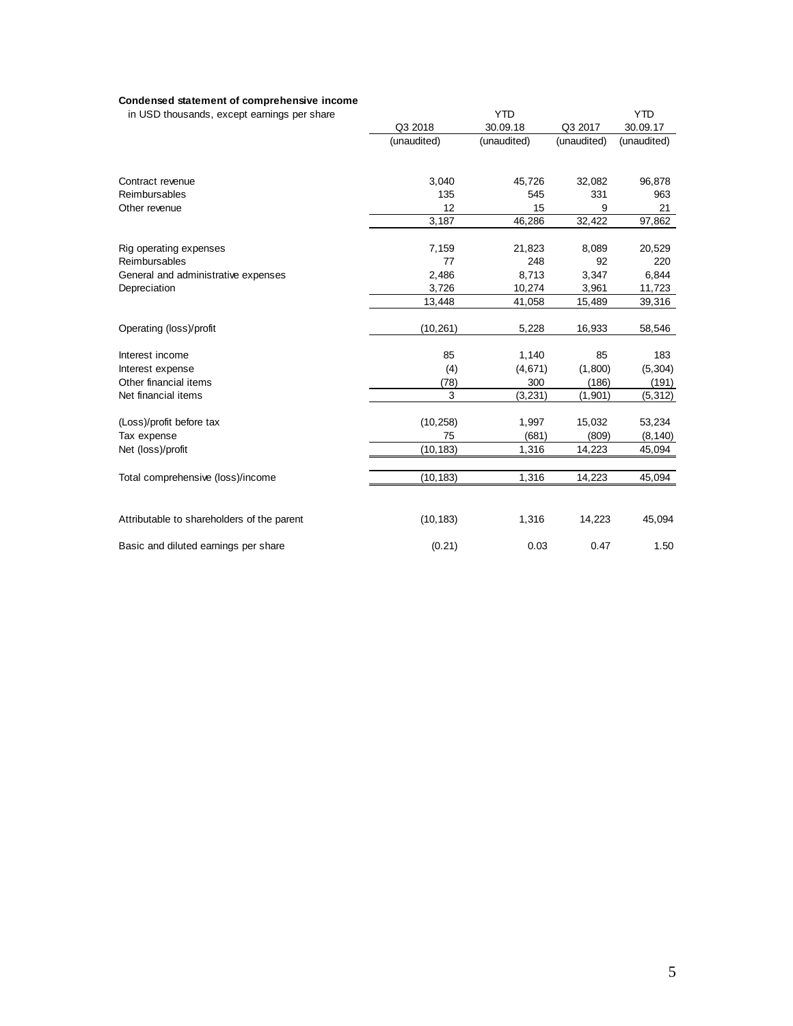#### **Condensed statement of comprehensive income**

| in USD thousands, except earnings per share |             | <b>YTD</b>  |             |             |
|---------------------------------------------|-------------|-------------|-------------|-------------|
|                                             | Q3 2018     | 30.09.18    | Q3 2017     | 30.09.17    |
|                                             | (unaudited) | (unaudited) | (unaudited) | (unaudited) |
| Contract revenue                            | 3,040       | 45,726      | 32,082      | 96,878      |
| Reimbursables                               | 135         | 545         | 331         | 963         |
| Other revenue                               | 12          | 15          | 9           | 21          |
|                                             | 3,187       | 46,286      | 32,422      | 97,862      |
| Rig operating expenses                      | 7,159       | 21,823      | 8,089       | 20,529      |
| Reimbursables                               | 77          | 248         | 92          | 220         |
| General and administrative expenses         | 2,486       | 8,713       | 3,347       | 6,844       |
| Depreciation                                | 3,726       | 10,274      | 3,961       | 11,723      |
|                                             | 13,448      | 41,058      | 15,489      | 39,316      |
| Operating (loss)/profit                     | (10, 261)   | 5,228       | 16,933      | 58,546      |
| Interest income                             | 85          | 1,140       | 85          | 183         |
| Interest expense                            | (4)         | (4,671)     | (1,800)     | (5, 304)    |
| Other financial items                       | (78)        | 300         | (186)       | (191)       |
| Net financial items                         | 3           | (3,231)     | (1,901)     | (5, 312)    |
| (Loss)/profit before tax                    | (10, 258)   | 1,997       | 15,032      | 53,234      |
| Tax expense                                 | 75          | (681)       | (809)       | (8, 140)    |
| Net (loss)/profit                           | (10, 183)   | 1,316       | 14,223      | 45,094      |
| Total comprehensive (loss)/income           | (10, 183)   | 1,316       | 14,223      | 45,094      |
| Attributable to shareholders of the parent  | (10, 183)   | 1,316       | 14,223      | 45,094      |
| Basic and diluted earnings per share        | (0.21)      | 0.03        | 0.47        | 1.50        |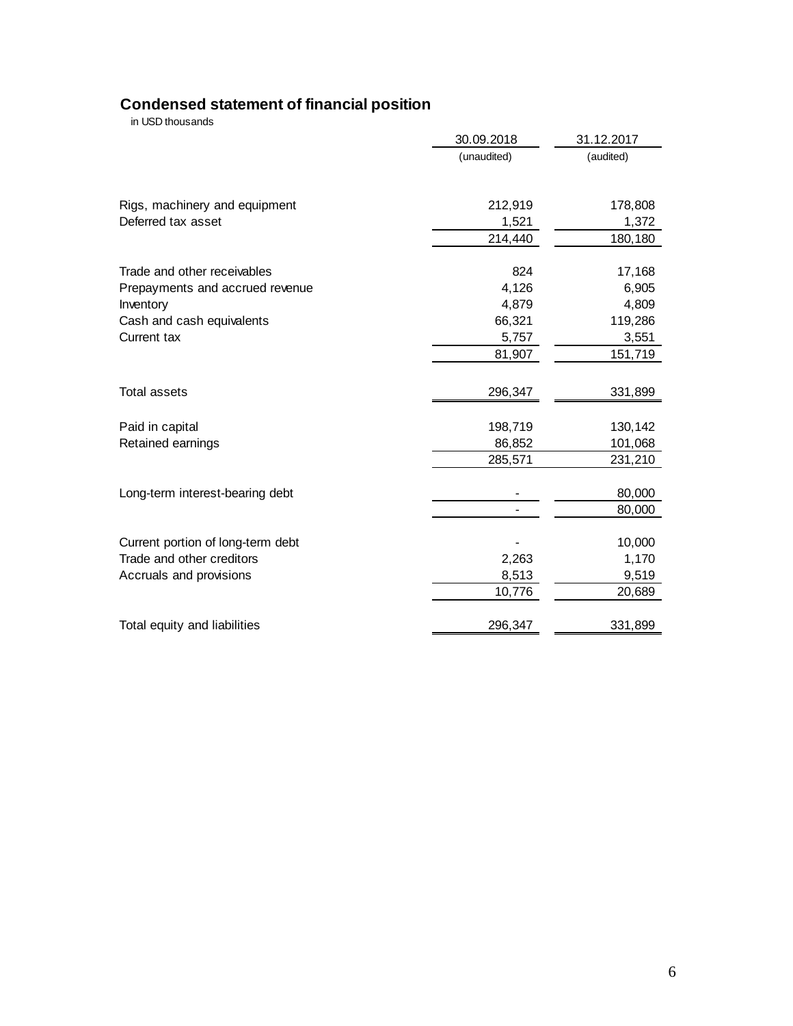## **Condensed statement of financial position**

in USD thousands

|                                                     | 30.09.2018       | 31.12.2017       |
|-----------------------------------------------------|------------------|------------------|
|                                                     | (unaudited)      | (audited)        |
|                                                     | 212,919          | 178,808          |
| Rigs, machinery and equipment<br>Deferred tax asset |                  |                  |
|                                                     | 1,521<br>214,440 | 1,372<br>180,180 |
|                                                     |                  |                  |
| Trade and other receivables                         | 824              | 17,168           |
| Prepayments and accrued revenue                     | 4,126            | 6,905            |
| Inventory                                           | 4,879            | 4,809            |
| Cash and cash equivalents                           | 66,321           | 119,286          |
| Current tax                                         | 5,757            | 3,551            |
|                                                     | 81,907           | 151,719          |
|                                                     |                  |                  |
| <b>Total assets</b>                                 | 296,347          | 331,899          |
| Paid in capital                                     | 198,719          | 130,142          |
| Retained earnings                                   | 86,852           | 101,068          |
|                                                     | 285,571          | 231,210          |
| Long-term interest-bearing debt                     |                  | 80,000           |
|                                                     |                  | 80,000           |
|                                                     |                  |                  |
| Current portion of long-term debt                   |                  | 10,000           |
| Trade and other creditors                           | 2,263            | 1,170            |
| Accruals and provisions                             | 8,513            | 9,519            |
|                                                     | 10,776           | 20,689           |
| Total equity and liabilities                        | 296,347          | 331,899          |
|                                                     |                  |                  |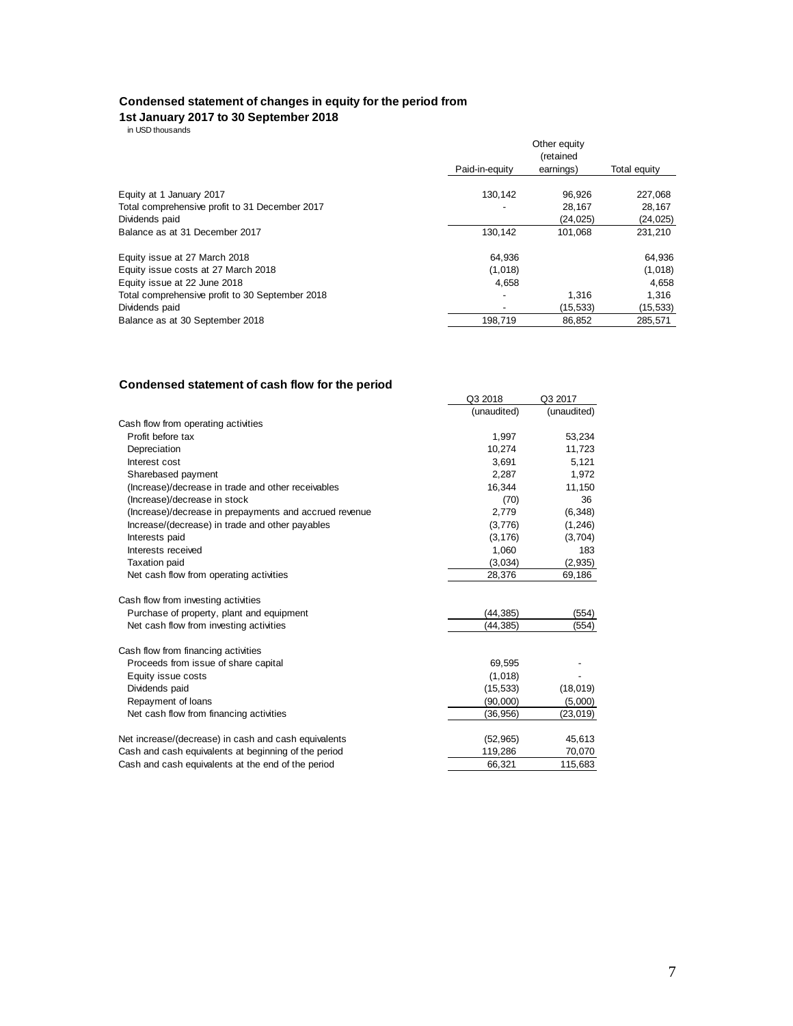#### **Condensed statement of changes in equity for the period from**

#### **1st January 2017 to 30 September 2018**

in USD thousands

|                                                 | Other equity<br>(retained |           |              |
|-------------------------------------------------|---------------------------|-----------|--------------|
|                                                 | Paid-in-equity            | earnings) | Total equity |
| Equity at 1 January 2017                        | 130.142                   | 96,926    | 227,068      |
| Total comprehensive profit to 31 December 2017  |                           | 28.167    | 28.167       |
| Dividends paid                                  |                           | (24, 025) | (24, 025)    |
| Balance as at 31 December 2017                  | 130.142                   | 101.068   | 231,210      |
| Equity issue at 27 March 2018                   | 64.936                    |           | 64.936       |
| Equity issue costs at 27 March 2018             | (1,018)                   |           | (1,018)      |
| Equity issue at 22 June 2018                    | 4,658                     |           | 4,658        |
| Total comprehensive profit to 30 September 2018 |                           | 1,316     | 1.316        |
| Dividends paid                                  |                           | (15, 533) | (15, 533)    |
| Balance as at 30 September 2018                 | 198,719                   | 86,852    | 285,571      |

## **Condensed statement of cash flow for the period**

|                                                        | Q3 2018     | Q3 2017     |
|--------------------------------------------------------|-------------|-------------|
|                                                        | (unaudited) | (unaudited) |
| Cash flow from operating activities                    |             |             |
| Profit before tax                                      | 1,997       | 53,234      |
| Depreciation                                           | 10,274      | 11,723      |
| Interest cost                                          | 3.691       | 5,121       |
| Sharebased payment                                     | 2,287       | 1,972       |
| (Increase)/decrease in trade and other receivables     | 16,344      | 11,150      |
| (Increase)/decrease in stock                           | (70)        | 36          |
| (Increase)/decrease in prepayments and accrued revenue | 2,779       | (6, 348)    |
| Increase/(decrease) in trade and other payables        | (3,776)     | (1, 246)    |
| Interests paid                                         | (3, 176)    | (3,704)     |
| Interests received                                     | 1,060       | 183         |
| <b>Taxation paid</b>                                   | (3,034)     | (2,935)     |
| Net cash flow from operating activities                | 28,376      | 69,186      |
| Cash flow from investing activities                    |             |             |
| Purchase of property, plant and equipment              | (44, 385)   | (554)       |
| Net cash flow from investing activities                | (44,385)    | (554)       |
| Cash flow from financing activities                    |             |             |
| Proceeds from issue of share capital                   | 69,595      |             |
| Equity issue costs                                     | (1,018)     |             |
| Dividends paid                                         | (15, 533)   | (18, 019)   |
| Repayment of loans                                     | (90,000)    | (5,000)     |
| Net cash flow from financing activities                | (36, 956)   | (23, 019)   |
| Net increase/(decrease) in cash and cash equivalents   | (52, 965)   | 45,613      |
| Cash and cash equivalents at beginning of the period   | 119,286     | 70,070      |
| Cash and cash equivalents at the end of the period     | 66.321      | 115,683     |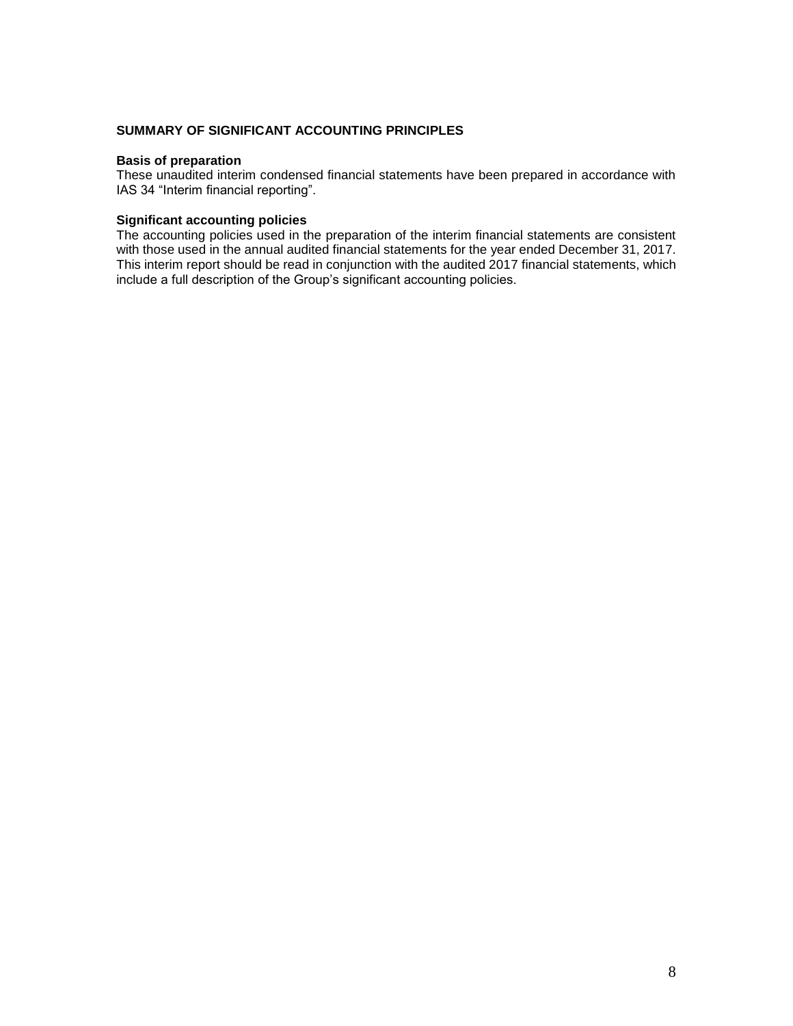## **SUMMARY OF SIGNIFICANT ACCOUNTING PRINCIPLES**

## **Basis of preparation**

These unaudited interim condensed financial statements have been prepared in accordance with IAS 34 "Interim financial reporting".

## **Significant accounting policies**

The accounting policies used in the preparation of the interim financial statements are consistent with those used in the annual audited financial statements for the year ended December 31, 2017. This interim report should be read in conjunction with the audited 2017 financial statements, which include a full description of the Group's significant accounting policies.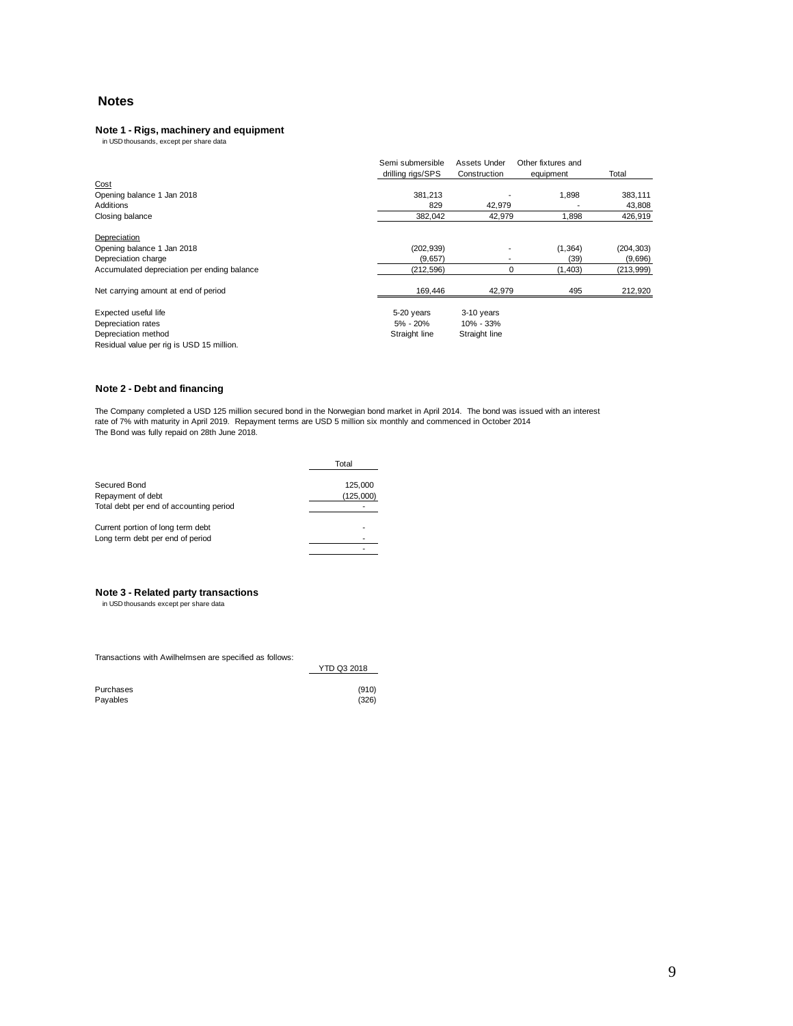## **Notes**

# **Note 1 - Rigs, machinery and equipment**<br>in USD thousands, except per share data

|                                             | Semi submersible<br>drilling rigs/SPS | Assets Under<br>Construction | Other fixtures and<br>equipment | Total      |
|---------------------------------------------|---------------------------------------|------------------------------|---------------------------------|------------|
| Cost                                        |                                       |                              |                                 |            |
| Opening balance 1 Jan 2018                  | 381,213                               |                              | 1,898                           | 383,111    |
| Additions                                   | 829                                   | 42,979                       |                                 | 43,808     |
| Closing balance                             | 382,042                               | 42,979                       | 1,898                           | 426,919    |
| Depreciation                                |                                       |                              |                                 |            |
| Opening balance 1 Jan 2018                  | (202, 939)                            |                              | (1, 364)                        | (204, 303) |
| Depreciation charge                         | (9,657)                               |                              | (39)                            | (9,696)    |
| Accumulated depreciation per ending balance | (212, 596)                            | 0                            | (1,403)                         | (213,999)  |
| Net carrying amount at end of period        | 169.446                               | 42.979                       | 495                             | 212,920    |
| Expected useful life                        | 5-20 years                            | 3-10 years                   |                                 |            |
| Depreciation rates                          | 5% - 20%                              | 10% - 33%                    |                                 |            |
| Depreciation method                         | Straight line                         | Straight line                |                                 |            |
| Residual value per rig is USD 15 million.   |                                       |                              |                                 |            |

#### **Note 2 - Debt and financing**

The Company completed a USD 125 million secured bond in the Norwegian bond market in April 2014. The bond was issued with an interest rate of 7% with maturity in April 2019. Repayment terms are USD 5 million six monthly and commenced in October 2014 The Bond was fully repaid on 28th June 2018.

|                                         | Total     |
|-----------------------------------------|-----------|
| Secured Bond                            | 125,000   |
| Repayment of debt                       | (125,000) |
| Total debt per end of accounting period |           |
| Current portion of long term debt       |           |
| Long term debt per end of period        |           |
|                                         |           |

# **Note 3 - Related party transactions**<br>in USD thousands except per share data

Transactions with Awilhelmsen are specified as follows:

|           | YTD Q3 2018 |
|-----------|-------------|
| Purchases | (910)       |
| Payables  | (326)       |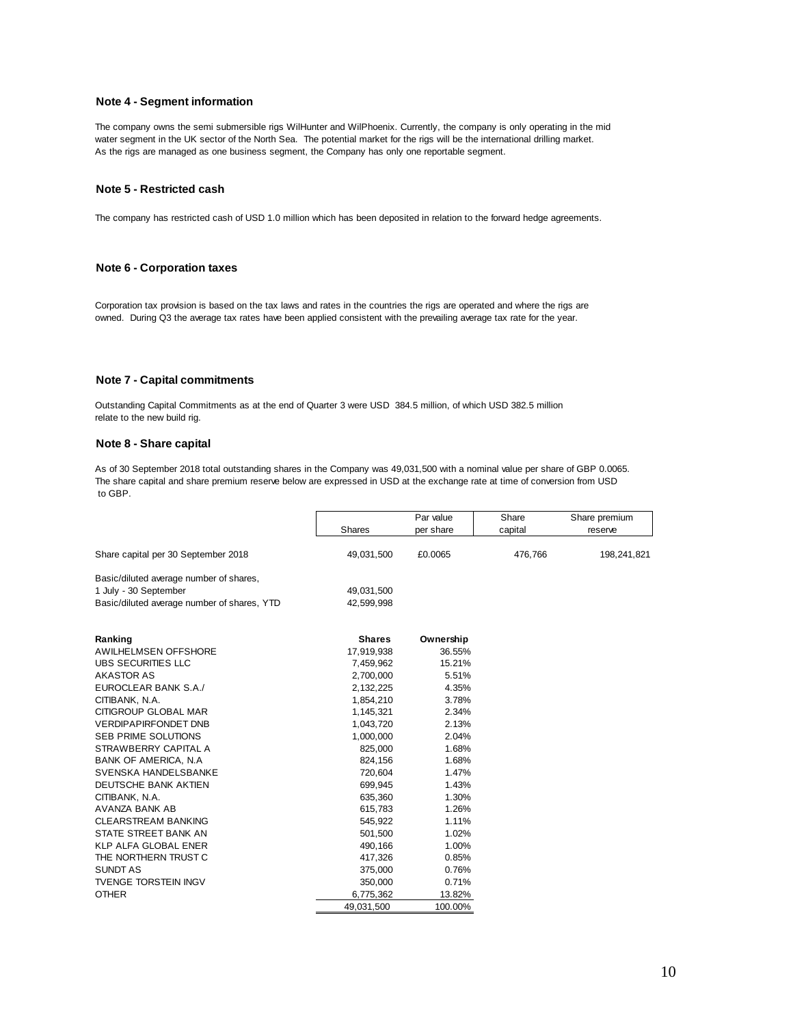### **Note 4 - Segment information**

The company owns the semi submersible rigs WilHunter and WilPhoenix. Currently, the company is only operating in the mid water segment in the UK sector of the North Sea. The potential market for the rigs will be the international drilling market. As the rigs are managed as one business segment, the Company has only one reportable segment.

### **Note 5 - Restricted cash**

The company has restricted cash of USD 1.0 million which has been deposited in relation to the forward hedge agreements.

### **Note 6 - Corporation taxes**

Corporation tax provision is based on the tax laws and rates in the countries the rigs are operated and where the rigs are owned. During Q3 the average tax rates have been applied consistent with the prevailing average tax rate for the year.

#### **Note 7 - Capital commitments**

Outstanding Capital Commitments as at the end of Quarter 3 were USD 384.5 million, of which USD 382.5 million relate to the new build rig.

#### **Note 8 - Share capital**

As of 30 September 2018 total outstanding shares in the Company was 49,031,500 with a nominal value per share of GBP 0.0065. The share capital and share premium reserve below are expressed in USD at the exchange rate at time of conversion from USD to GBP. The total project cost for the William project is USD 70M. Awilco Drilling Limited and the wholly owned subsidiaries, Awilco Arctic II Ltd and Awilco Arctic II Ltd and Awilco Arctic IV Ltd, were incorporated late

|                                             |               | Par value | Share   | Share premium |
|---------------------------------------------|---------------|-----------|---------|---------------|
|                                             | <b>Shares</b> | per share | capital | reserve       |
| Share capital per 30 September 2018         | 49,031,500    | £0.0065   | 476,766 | 198,241,821   |
| Basic/diluted average number of shares,     |               |           |         |               |
| 1 July - 30 September                       | 49,031,500    |           |         |               |
| Basic/diluted average number of shares, YTD | 42,599,998    |           |         |               |
| Ranking                                     | <b>Shares</b> | Ownership |         |               |
| <b>AWILHELMSEN OFFSHORE</b>                 | 17,919,938    | 36.55%    |         |               |
| UBS SECURITIES LLC                          | 7,459,962     | 15.21%    |         |               |
| <b>AKASTOR AS</b>                           | 2,700,000     | 5.51%     |         |               |
| EUROCLEAR BANK S.A./                        | 2,132,225     | 4.35%     |         |               |
| CITIBANK, N.A.                              | 1,854,210     | 3.78%     |         |               |
| CITIGROUP GLOBAL MAR                        | 1,145,321     | 2.34%     |         |               |
| <b>VERDIPAPIRFONDET DNB</b>                 | 1,043,720     | 2.13%     |         |               |
| <b>SEB PRIME SOLUTIONS</b>                  | 1,000,000     | 2.04%     |         |               |
| STRAWBERRY CAPITAL A                        | 825,000       | 1.68%     |         |               |
| <b>BANK OF AMERICA, N.A.</b>                | 824,156       | 1.68%     |         |               |
| SVENSKA HANDELSBANKE                        | 720,604       | 1.47%     |         |               |
| DEUTSCHE BANK AKTIEN                        | 699,945       | 1.43%     |         |               |
| CITIBANK, N.A.                              | 635,360       | 1.30%     |         |               |
| <b>AVANZA BANK AB</b>                       | 615,783       | 1.26%     |         |               |
| <b>CLEARSTREAM BANKING</b>                  | 545,922       | 1.11%     |         |               |
| STATE STREET BANK AN                        | 501,500       | 1.02%     |         |               |
| KLP ALFA GLOBAL ENER                        | 490,166       | 1.00%     |         |               |
| THE NORTHERN TRUST C                        | 417,326       | 0.85%     |         |               |
| <b>SUNDT AS</b>                             | 375,000       | 0.76%     |         |               |
| <b>TVENGE TORSTEIN INGV</b>                 | 350,000       | 0.71%     |         |               |
| <b>OTHER</b>                                | 6,775,362     | 13.82%    |         |               |
|                                             | 49,031,500    | 100.00%   |         |               |